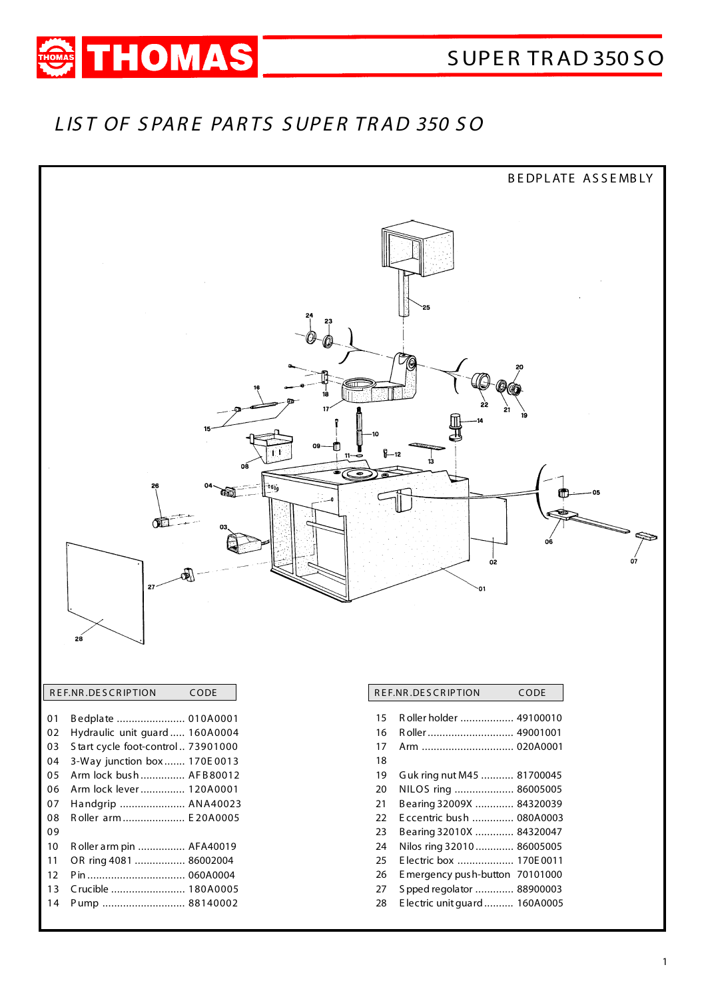

#### L IS T OF S PAR E PAR TS S UP E R TR AD 350 S O

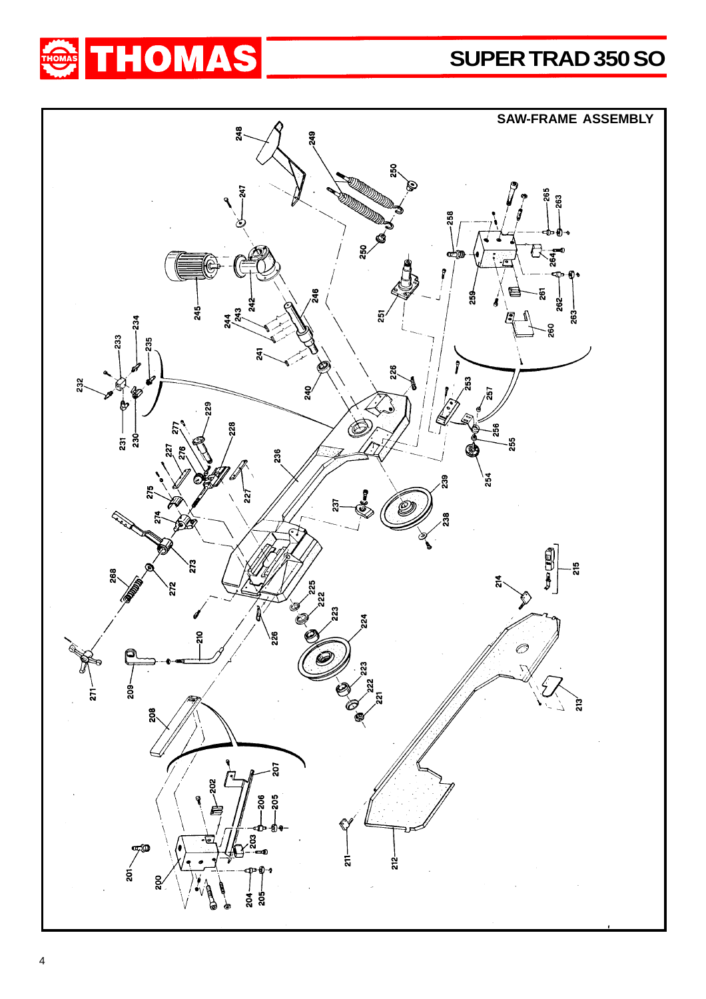# **SUPER TRAD 350 SO**

**SAW-FRAME ASSEMBLY**



248 ន្ល  $\mathbb{Z}_{\mathbb{Z}_{2}}$ 263  $\frac{5}{2}$  $34.$ ă  $\frac{33}{2}$ 232  $\frac{9}{2}$ 256 ភ្ន<br>230 255 35<br>25 ភ្ន **EDGA**  $\frac{1}{2}$ ŗ3 है Ō ខ្លឹ  $\ddot{a}$ ក្ដ Ź 208  $212-$ Ë  $\frac{2}{5}$ g  $204 -$ <br> $205 -$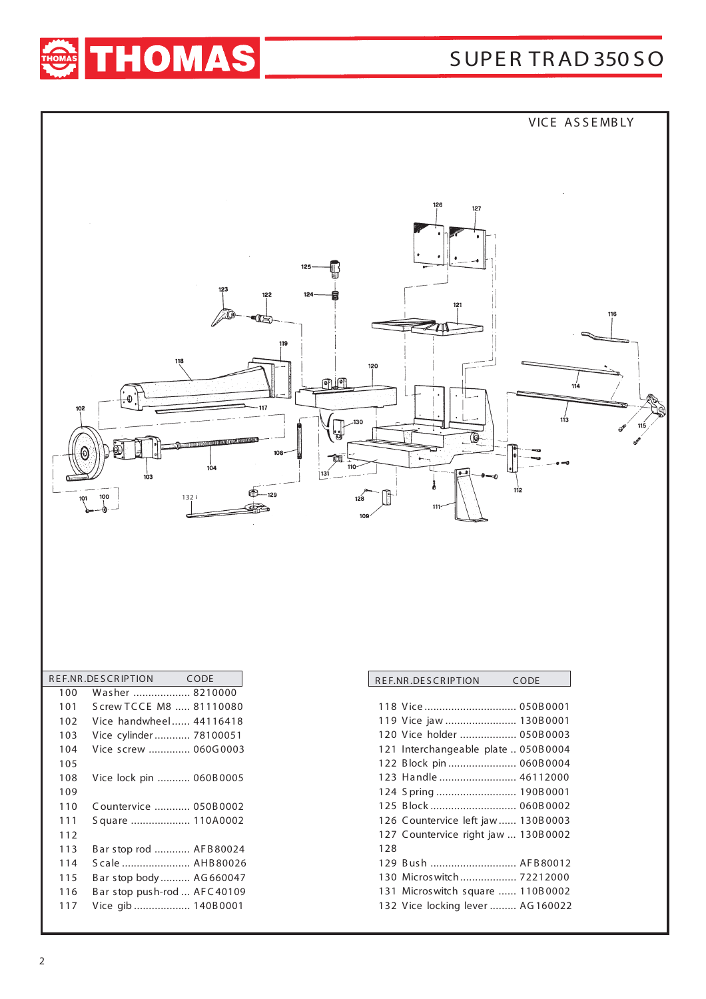



|     | REF.NR.DESCRIPTION | CODE                        |
|-----|--------------------|-----------------------------|
| 100 |                    | Washer  8210000             |
| 101 |                    | Screw TCCE M8  81110080     |
| 102 |                    | Vice handwhee  44116418     |
| 103 |                    | Vice cylinder 78100051      |
| 104 |                    | Vice screw  060G0003        |
| 105 |                    |                             |
| 108 |                    | Vice lock pin  060B0005     |
| 109 |                    |                             |
| 110 |                    | Countervice  050B0002       |
| 111 |                    | Square  110A0002            |
| 112 |                    |                             |
| 113 |                    | Bar stop rod  AFB80024      |
| 114 |                    | S cale  AHB80026            |
| 115 |                    | Bar stop body AG660047      |
| 116 |                    | Bar stop push-rod  AFC40109 |
| 117 |                    | Vice gib  140B0001          |
|     |                    |                             |

| REF.NR.DESCRIPTION<br>CODE |                                     |  |
|----------------------------|-------------------------------------|--|
|                            |                                     |  |
|                            | 118  Vice  050B 0001                |  |
|                            | 119 Vice jaw  130B0001              |  |
|                            | 120 Vice holder  050B0003           |  |
|                            | 121 Interchangeable plate  050B0004 |  |
|                            | 122 Block pin  060B0004             |  |
|                            | 123 Handle  46112000                |  |
|                            | 124 Spring  190B0001                |  |
|                            | 125 Block  060B0002                 |  |
|                            | 126 Countervice left jaw 130B0003   |  |
|                            | 127 Countervice right jaw  130B0002 |  |
| 128                        |                                     |  |
|                            | 129 Bush  AFB80012                  |  |
|                            | 130 Micros witch  72212000          |  |
|                            | 131 Micros witch square  110B0002   |  |
|                            | 132 Vice locking lever  AG160022    |  |
|                            |                                     |  |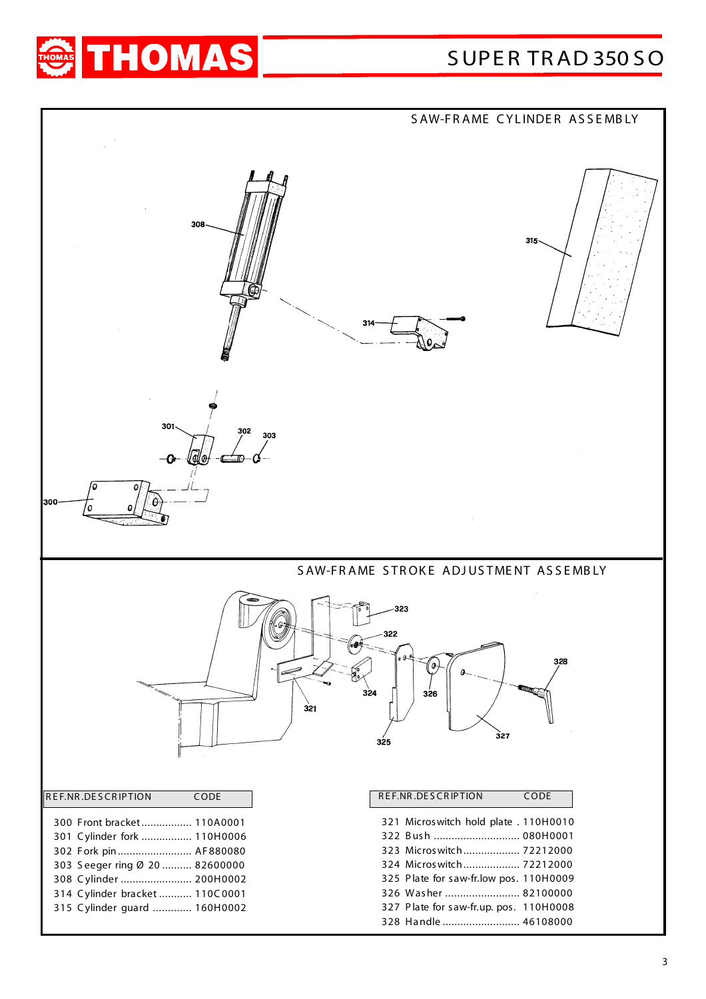### SUPER TRAD 350 SO